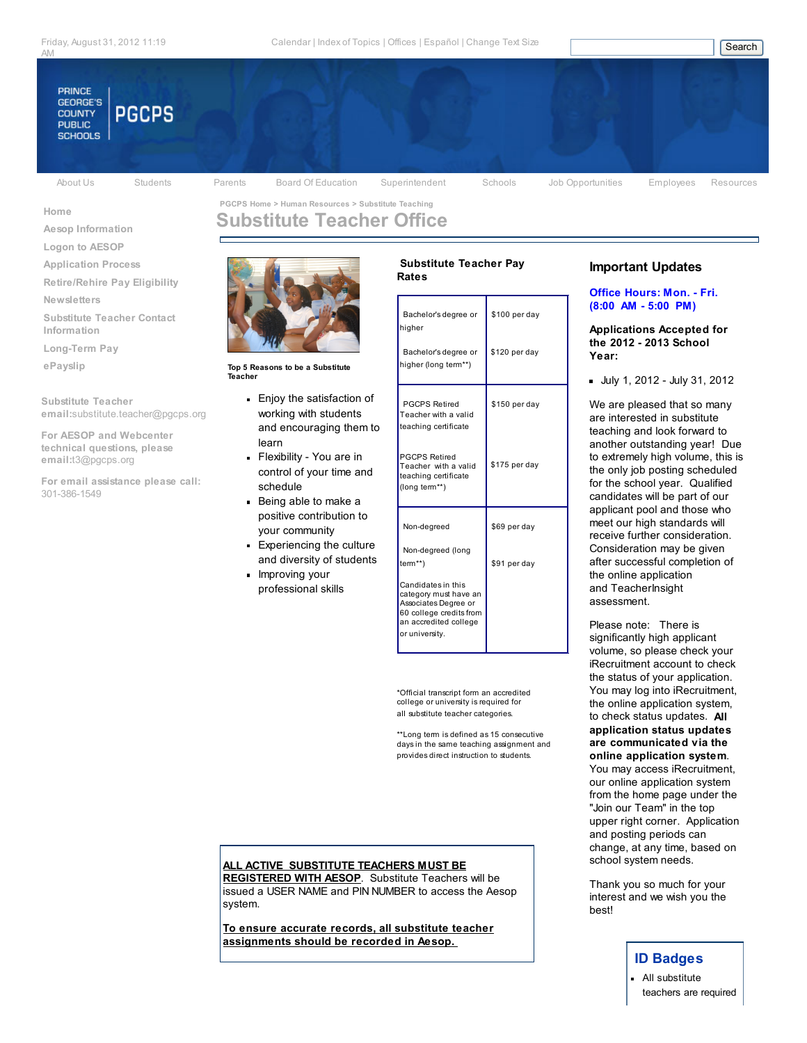

Aesop Information Logon to AESOP Application Process Retire/Rehire Pay Eligibility

Newsletters

Information Long-Term Pay ePayslip

Home

Substitute Teacher

301-386-1549

email:substitute.teacher@pgcps.org

For email assistance please call:

For AESOP and Webcenter technical questions, please email:t3@pgcps.org

Substitute Teacher Contact

About Us Students Parents Board Of Education Superintendent Schools Job Opportunities Employees Resources

Rates

# Substitute Teacher Office



Top 5 Reasons to be a Substitute Teacher

- Enjoy the satisfaction of working with students and encouraging them to learn
- Flexibility You are in control of your time and schedule
- Being able to make a positive contribution to your community
- **Experiencing the culture** and diversity of students
- **Improving your** professional skills

| Bachelor's degree or<br>higher                                                                                                            | \$100 per day |
|-------------------------------------------------------------------------------------------------------------------------------------------|---------------|
| Bachelor's degree or<br>higher (long term**)                                                                                              | \$120 per day |
| <b>PGCPS Retired</b><br>Teacher with a valid<br>teaching certificate                                                                      | \$150 per day |
| <b>PGCPS Retired</b><br>Teacher with a valid<br>teaching certificate<br>(long term**)                                                     | \$175 per day |
| Non-degreed                                                                                                                               | \$69 per day  |
| Non-degreed (long<br>$term**$                                                                                                             | \$91 per day  |
| Candidates in this<br>category must have an<br>Associates Degree or<br>60 college credits from<br>an accredited college<br>or university. |               |

Substitute Teacher Pay

\*Official transcript form an accredited college or university is required for all substitute teacher categories.

\*\*Long term is defined as 15 consecutive days in the same teaching assignment and provides direct instruction to students.

## ALL ACTIVE SUBSTITUTE TEACHERS MUST BE

REGISTERED WITH AESOP. Substitute Teachers will be issued a USER NAME and PIN NUMBER to access the Aesop system.

To ensure accurate records, all substitute teacher assignments should be recorded in Aesop.

# Important Updates

#### Office Hours: Mon. - Fri. (8:00 AM - 5:00 PM)

Applications Accepted for the 2012 - 2013 School Year:

July 1, 2012 - July 31, 2012

We are pleased that so many are interested in substitute teaching and look forward to another outstanding year! Due to extremely high volume, this is the only job posting scheduled for the school year. Qualified candidates will be part of our applicant pool and those who meet our high standards will receive further consideration. Consideration may be given after successful completion of the online application and TeacherInsight assessment.

Please note: There is significantly high applicant volume, so please check your iRecruitment account to check the status of your application. You may log into iRecruitment, the online application system, to check status updates. All application status updates are communicated via the online application system. You may access iRecruitment, our online application system from the home page under the "Join our Team" in the top upper right corner. Application and posting periods can change, at any time, based on school system needs.

Thank you so much for your interest and we wish you the best!

# ID Badges

**All substitute** teachers are required

# PGCPS Home > Human Resources > Substitute Teaching